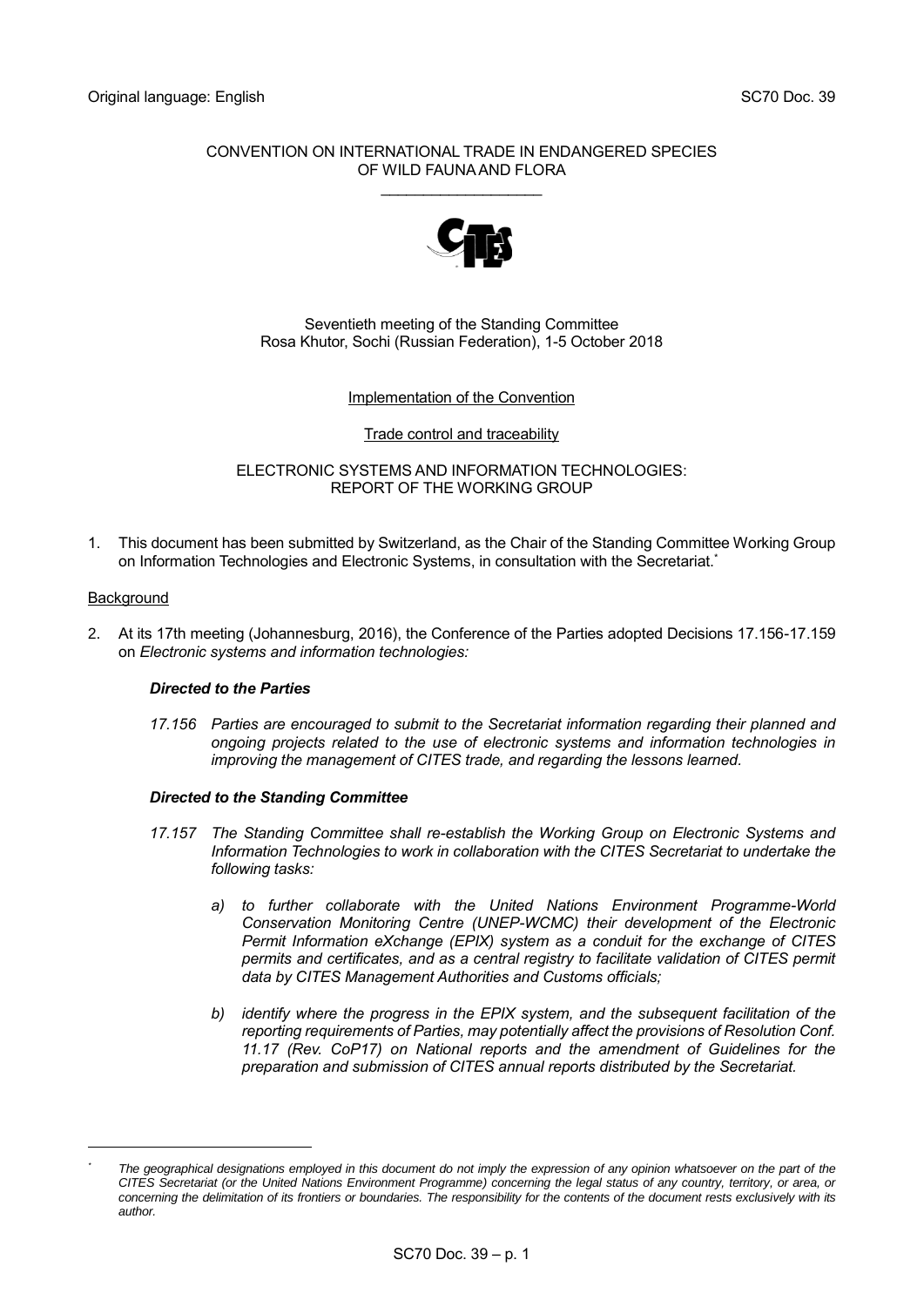## CONVENTION ON INTERNATIONAL TRADE IN ENDANGERED SPECIES OF WILD FAUNA AND FLORA

\_\_\_\_\_\_\_\_\_\_\_\_\_\_\_\_\_\_\_



# Seventieth meeting of the Standing Committee Rosa Khutor, Sochi (Russian Federation), 1-5 October 2018

## Implementation of the Convention

### Trade control and traceability

ELECTRONIC SYSTEMS AND INFORMATION TECHNOLOGIES: REPORT OF THE WORKING GROUP

1. This document has been submitted by Switzerland, as the Chair of the Standing Committee Working Group on Information Technologies and Electronic Systems, in consultation with the Secretariat. \*

### **Background**

-

2. At its 17th meeting (Johannesburg, 2016), the Conference of the Parties adopted Decisions 17.156-17.159 on *Electronic systems and information technologies:*

### *Directed to the Parties*

*17.156 Parties are encouraged to submit to the Secretariat information regarding their planned and ongoing projects related to the use of electronic systems and information technologies in improving the management of CITES trade, and regarding the lessons learned.*

### *Directed to the Standing Committee*

- *17.157 The Standing Committee shall re-establish the Working Group on Electronic Systems and Information Technologies to work in collaboration with the CITES Secretariat to undertake the following tasks:*
	- *a) to further collaborate with the United Nations Environment Programme-World Conservation Monitoring Centre (UNEP-WCMC) their development of the Electronic Permit Information eXchange (EPIX) system as a conduit for the exchange of CITES permits and certificates, and as a central registry to facilitate validation of CITES permit data by CITES Management Authorities and Customs officials;*
	- *b) identify where the progress in the EPIX system, and the subsequent facilitation of the reporting requirements of Parties, may potentially affect the provisions of Resolution Conf. 11.17 (Rev. CoP17) on National reports and the amendment of Guidelines for the preparation and submission of CITES annual reports distributed by the Secretariat.*

*<sup>\*</sup> The geographical designations employed in this document do not imply the expression of any opinion whatsoever on the part of the CITES Secretariat (or the United Nations Environment Programme) concerning the legal status of any country, territory, or area, or concerning the delimitation of its frontiers or boundaries. The responsibility for the contents of the document rests exclusively with its author.*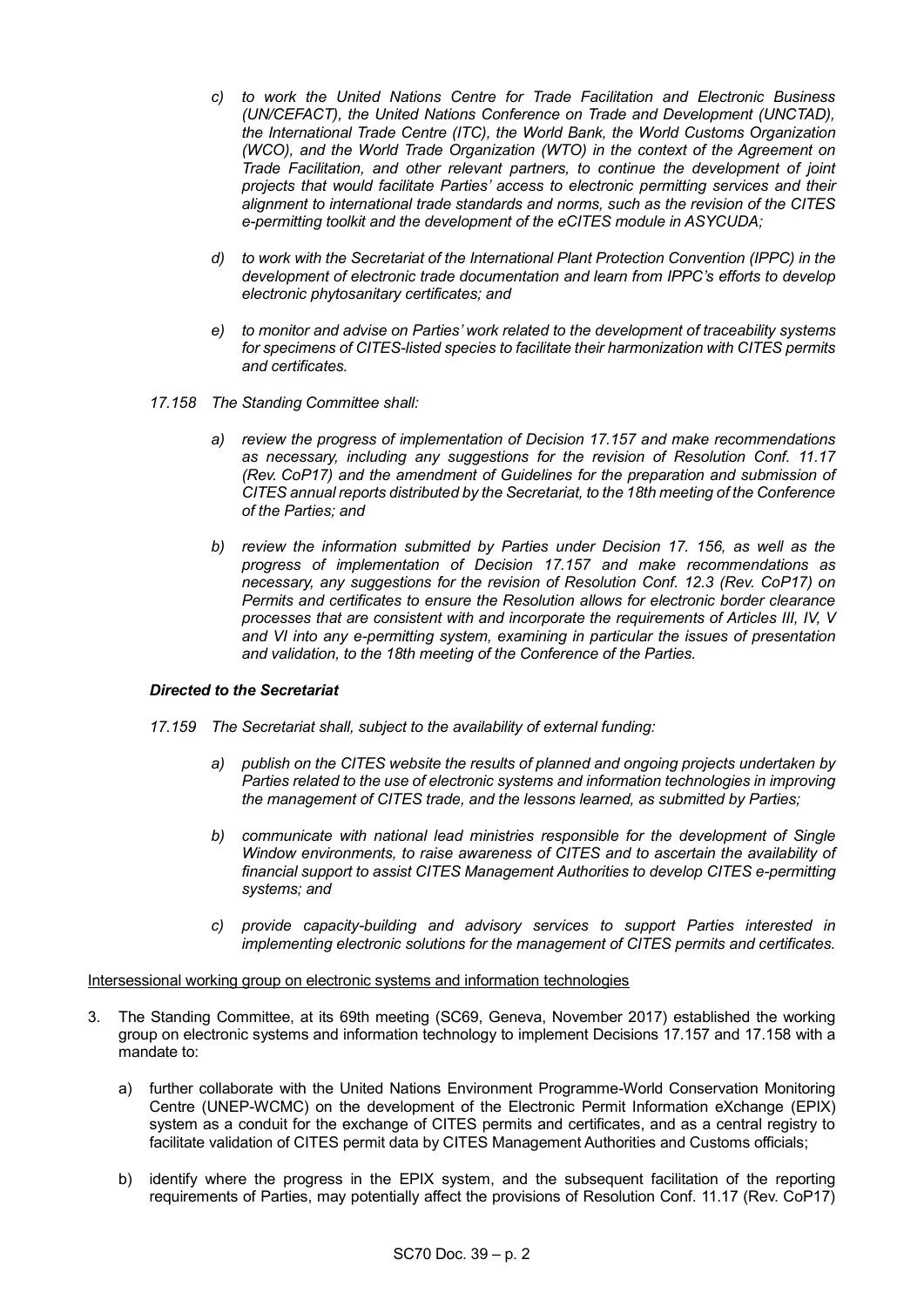- *c) to work the United Nations Centre for Trade Facilitation and Electronic Business (UN/CEFACT), the United Nations Conference on Trade and Development (UNCTAD), the International Trade Centre (ITC), the World Bank, the World Customs Organization (WCO), and the World Trade Organization (WTO) in the context of the Agreement on Trade Facilitation, and other relevant partners, to continue the development of joint projects that would facilitate Parties' access to electronic permitting services and their alignment to international trade standards and norms, such as the revision of the CITES e-permitting toolkit and the development of the eCITES module in ASYCUDA;*
- *d) to work with the Secretariat of the International Plant Protection Convention (IPPC) in the development of electronic trade documentation and learn from IPPC's efforts to develop electronic phytosanitary certificates; and*
- *e) to monitor and advise on Parties' work related to the development of traceability systems for specimens of CITES-listed species to facilitate their harmonization with CITES permits and certificates.*
- *17.158 The Standing Committee shall:* 
	- *a) review the progress of implementation of Decision 17.157 and make recommendations as necessary, including any suggestions for the revision of Resolution Conf. 11.17 (Rev. CoP17) and the amendment of Guidelines for the preparation and submission of CITES annual reports distributed by the Secretariat, to the 18th meeting of the Conference of the Parties; and*
	- *b) review the information submitted by Parties under Decision 17. 156, as well as the progress of implementation of Decision 17.157 and make recommendations as necessary, any suggestions for the revision of Resolution Conf. 12.3 (Rev. CoP17) on Permits and certificates to ensure the Resolution allows for electronic border clearance processes that are consistent with and incorporate the requirements of Articles III, IV, V and VI into any e-permitting system, examining in particular the issues of presentation and validation, to the 18th meeting of the Conference of the Parties.*

## *Directed to the Secretariat*

- *17.159 The Secretariat shall, subject to the availability of external funding:*
	- *a) publish on the CITES website the results of planned and ongoing projects undertaken by Parties related to the use of electronic systems and information technologies in improving the management of CITES trade, and the lessons learned, as submitted by Parties;*
	- *b) communicate with national lead ministries responsible for the development of Single Window environments, to raise awareness of CITES and to ascertain the availability of financial support to assist CITES Management Authorities to develop CITES e-permitting systems; and*
	- *c) provide capacity-building and advisory services to support Parties interested in implementing electronic solutions for the management of CITES permits and certificates.*

### Intersessional working group on electronic systems and information technologies

- 3. The Standing Committee, at its 69th meeting (SC69, Geneva, November 2017) established the working group on electronic systems and information technology to implement Decisions 17.157 and 17.158 with a mandate to:
	- a) further collaborate with the United Nations Environment Programme-World Conservation Monitoring Centre (UNEP-WCMC) on the development of the Electronic Permit Information eXchange (EPIX) system as a conduit for the exchange of CITES permits and certificates, and as a central registry to facilitate validation of CITES permit data by CITES Management Authorities and Customs officials;
	- b) identify where the progress in the EPIX system, and the subsequent facilitation of the reporting requirements of Parties, may potentially affect the provisions of Resolution Conf. 11.17 (Rev. CoP17)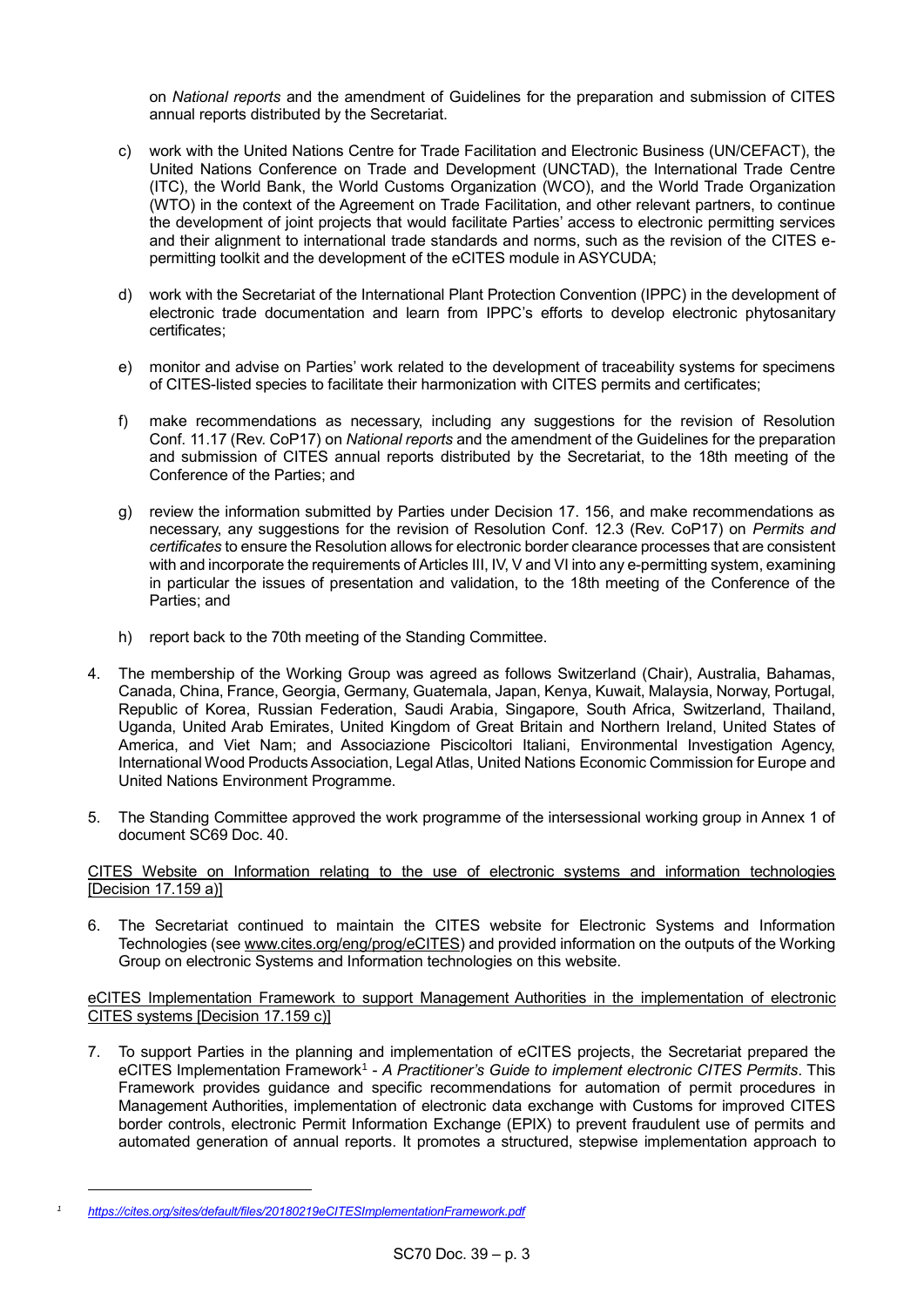on *National reports* and the amendment of Guidelines for the preparation and submission of CITES annual reports distributed by the Secretariat.

- c) work with the United Nations Centre for Trade Facilitation and Electronic Business (UN/CEFACT), the United Nations Conference on Trade and Development (UNCTAD), the International Trade Centre (ITC), the World Bank, the World Customs Organization (WCO), and the World Trade Organization (WTO) in the context of the Agreement on Trade Facilitation, and other relevant partners, to continue the development of joint projects that would facilitate Parties' access to electronic permitting services and their alignment to international trade standards and norms, such as the revision of the CITES epermitting toolkit and the development of the eCITES module in ASYCUDA;
- d) work with the Secretariat of the International Plant Protection Convention (IPPC) in the development of electronic trade documentation and learn from IPPC's efforts to develop electronic phytosanitary certificates;
- e) monitor and advise on Parties' work related to the development of traceability systems for specimens of CITES-listed species to facilitate their harmonization with CITES permits and certificates;
- f) make recommendations as necessary, including any suggestions for the revision of Resolution Conf. 11.17 (Rev. CoP17) on *National reports* and the amendment of the Guidelines for the preparation and submission of CITES annual reports distributed by the Secretariat, to the 18th meeting of the Conference of the Parties; and
- g) review the information submitted by Parties under Decision 17. 156, and make recommendations as necessary, any suggestions for the revision of Resolution Conf. 12.3 (Rev. CoP17) on *Permits and certificates* to ensure the Resolution allows for electronic border clearance processes that are consistent with and incorporate the requirements of Articles III, IV, V and VI into any e-permitting system, examining in particular the issues of presentation and validation, to the 18th meeting of the Conference of the Parties; and
- h) report back to the 70th meeting of the Standing Committee.
- 4. The membership of the Working Group was agreed as follows Switzerland (Chair), Australia, Bahamas, Canada, China, France, Georgia, Germany, Guatemala, Japan, Kenya, Kuwait, Malaysia, Norway, Portugal, Republic of Korea, Russian Federation, Saudi Arabia, Singapore, South Africa, Switzerland, Thailand, Uganda, United Arab Emirates, United Kingdom of Great Britain and Northern Ireland, United States of America, and Viet Nam; and Associazione Piscicoltori Italiani, Environmental Investigation Agency, International Wood Products Association, Legal Atlas, United Nations Economic Commission for Europe and United Nations Environment Programme.
- 5. The Standing Committee approved the work programme of the intersessional working group in Annex 1 of document SC69 Doc. 40.

## CITES Website on Information relating to the use of electronic systems and information technologies [Decision 17.159 a)]

6. The Secretariat continued to maintain the CITES website for Electronic Systems and Information Technologies (see [www.cites.org/eng/prog/eCITES\)](http://www.cites.org/eng/prog/eCITES) and provided information on the outputs of the Working Group on electronic Systems and Information technologies on this website.

## eCITES Implementation Framework to support Management Authorities in the implementation of electronic CITES systems [Decision 17.159 c)]

7. To support Parties in the planning and implementation of eCITES projects, the Secretariat prepared the eCITES Implementation Framework<sup>1</sup> - *A Practitioner's Guide to implement electronic CITES Permits*. This Framework provides guidance and specific recommendations for automation of permit procedures in Management Authorities, implementation of electronic data exchange with Customs for improved CITES border controls, electronic Permit Information Exchange (EPIX) to prevent fraudulent use of permits and automated generation of annual reports. It promotes a structured, stepwise implementation approach to

*<sup>1</sup> <https://cites.org/sites/default/files/20180219eCITESImplementationFramework.pdf>*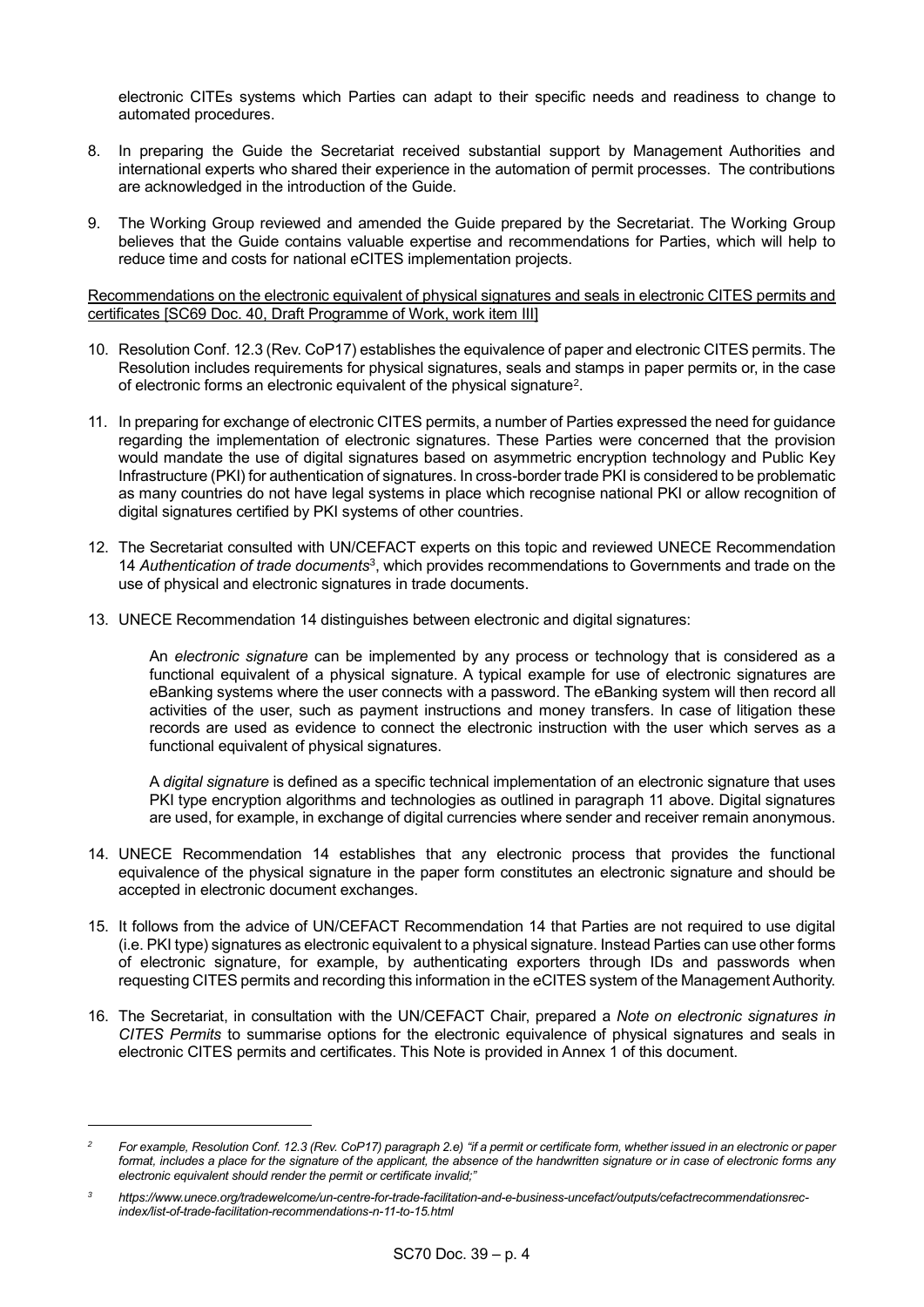electronic CITEs systems which Parties can adapt to their specific needs and readiness to change to automated procedures.

- 8. In preparing the Guide the Secretariat received substantial support by Management Authorities and international experts who shared their experience in the automation of permit processes. The contributions are acknowledged in the introduction of the Guide.
- 9. The Working Group reviewed and amended the Guide prepared by the Secretariat. The Working Group believes that the Guide contains valuable expertise and recommendations for Parties, which will help to reduce time and costs for national eCITES implementation projects.

### Recommendations on the electronic equivalent of physical signatures and seals in electronic CITES permits and certificates [SC69 Doc. 40, Draft Programme of Work, work item III]

- 10. Resolution Conf. 12.3 (Rev. CoP17) establishes the equivalence of paper and electronic CITES permits. The Resolution includes requirements for physical signatures, seals and stamps in paper permits or, in the case of electronic forms an electronic equivalent of the physical signature<sup>2</sup>.
- 11. In preparing for exchange of electronic CITES permits, a number of Parties expressed the need for guidance regarding the implementation of electronic signatures. These Parties were concerned that the provision would mandate the use of digital signatures based on asymmetric encryption technology and Public Key Infrastructure (PKI) for authentication of signatures. In cross-border trade PKI is considered to be problematic as many countries do not have legal systems in place which recognise national PKI or allow recognition of digital signatures certified by PKI systems of other countries.
- 12. The Secretariat consulted with UN/CEFACT experts on this topic and reviewed UNECE Recommendation 14 *Authentication of trade documents*<sup>3</sup> , which provides recommendations to Governments and trade on the use of physical and electronic signatures in trade documents.
- 13. UNECE Recommendation 14 distinguishes between electronic and digital signatures:

An *electronic signature* can be implemented by any process or technology that is considered as a functional equivalent of a physical signature. A typical example for use of electronic signatures are eBanking systems where the user connects with a password. The eBanking system will then record all activities of the user, such as payment instructions and money transfers. In case of litigation these records are used as evidence to connect the electronic instruction with the user which serves as a functional equivalent of physical signatures.

A *digital signature* is defined as a specific technical implementation of an electronic signature that uses PKI type encryption algorithms and technologies as outlined in paragraph 11 above. Digital signatures are used, for example, in exchange of digital currencies where sender and receiver remain anonymous.

- 14. UNECE Recommendation 14 establishes that any electronic process that provides the functional equivalence of the physical signature in the paper form constitutes an electronic signature and should be accepted in electronic document exchanges.
- 15. It follows from the advice of UN/CEFACT Recommendation 14 that Parties are not required to use digital (i.e. PKI type) signatures as electronic equivalent to a physical signature. Instead Parties can use other forms of electronic signature, for example, by authenticating exporters through IDs and passwords when requesting CITES permits and recording this information in the eCITES system of the Management Authority.
- 16. The Secretariat, in consultation with the UN/CEFACT Chair, prepared a *Note on electronic signatures in CITES Permits* to summarise options for the electronic equivalence of physical signatures and seals in electronic CITES permits and certificates. This Note is provided in Annex 1 of this document.

-

*<sup>2</sup> For example, Resolution Conf. 12.3 (Rev. CoP17) paragraph 2.e) "if a permit or certificate form, whether issued in an electronic or paper format, includes a place for the signature of the applicant, the absence of the handwritten signature or in case of electronic forms any electronic equivalent should render the permit or certificate invalid;"* 

*<sup>3</sup> https://www.unece.org/tradewelcome/un-centre-for-trade-facilitation-and-e-business-uncefact/outputs/cefactrecommendationsrecindex/list-of-trade-facilitation-recommendations-n-11-to-15.html*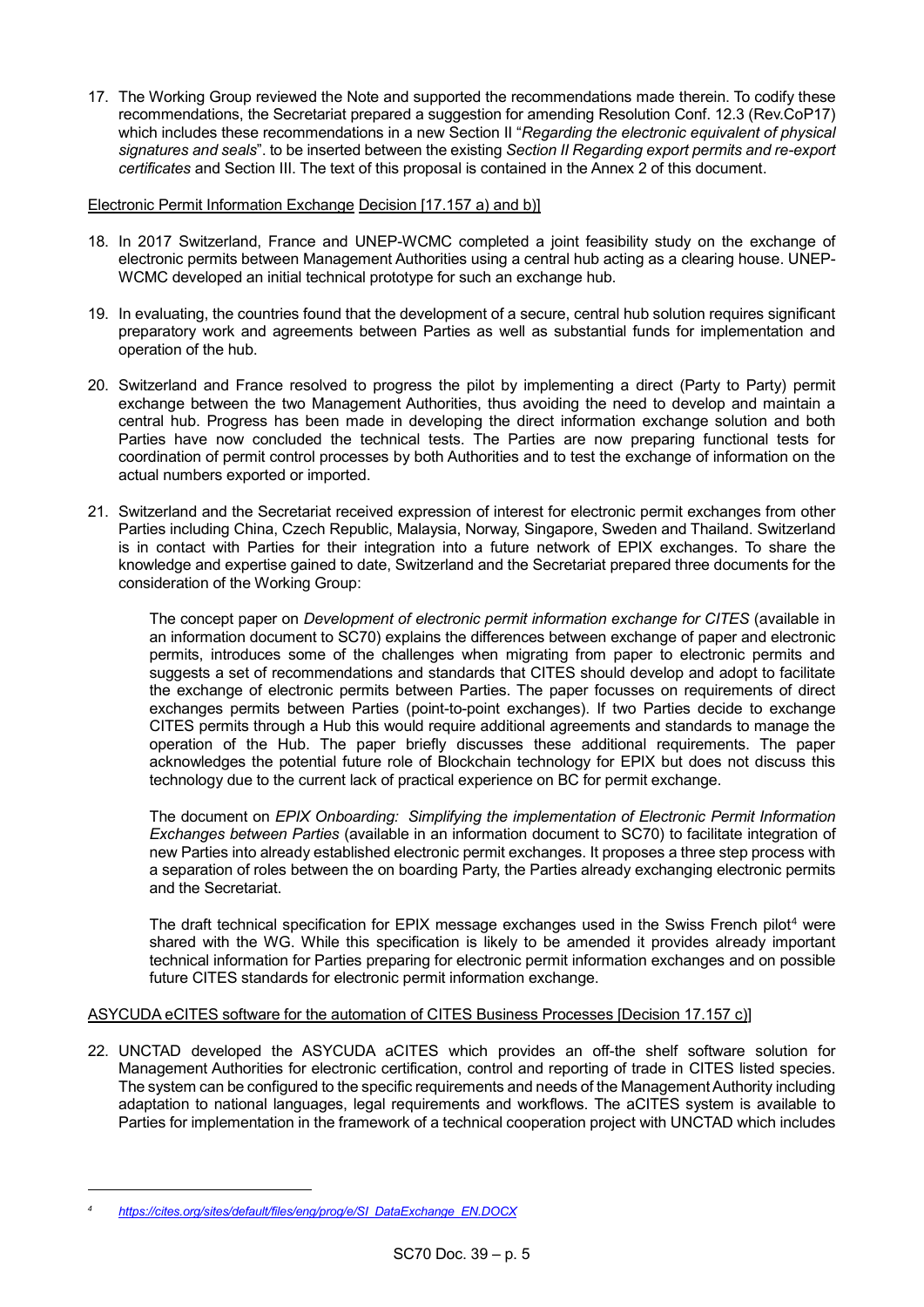17. The Working Group reviewed the Note and supported the recommendations made therein. To codify these recommendations, the Secretariat prepared a suggestion for amending Resolution Conf. 12.3 (Rev.CoP17) which includes these recommendations in a new Section II "*Regarding the electronic equivalent of physical signatures and seals*". to be inserted between the existing *Section II Regarding export permits and re-export certificates* and Section III. The text of this proposal is contained in the Annex 2 of this document.

# Electronic Permit Information Exchange Decision [17.157 a) and b)]

- 18. In 2017 Switzerland, France and UNEP-WCMC completed a joint feasibility study on the exchange of electronic permits between Management Authorities using a central hub acting as a clearing house. UNEP-WCMC developed an initial technical prototype for such an exchange hub.
- 19. In evaluating, the countries found that the development of a secure, central hub solution requires significant preparatory work and agreements between Parties as well as substantial funds for implementation and operation of the hub.
- 20. Switzerland and France resolved to progress the pilot by implementing a direct (Party to Party) permit exchange between the two Management Authorities, thus avoiding the need to develop and maintain a central hub. Progress has been made in developing the direct information exchange solution and both Parties have now concluded the technical tests. The Parties are now preparing functional tests for coordination of permit control processes by both Authorities and to test the exchange of information on the actual numbers exported or imported.
- 21. Switzerland and the Secretariat received expression of interest for electronic permit exchanges from other Parties including China, Czech Republic, Malaysia, Norway, Singapore, Sweden and Thailand. Switzerland is in contact with Parties for their integration into a future network of EPIX exchanges. To share the knowledge and expertise gained to date, Switzerland and the Secretariat prepared three documents for the consideration of the Working Group:

The concept paper on *Development of electronic permit information exchange for CITES* (available in an information document to SC70) explains the differences between exchange of paper and electronic permits, introduces some of the challenges when migrating from paper to electronic permits and suggests a set of recommendations and standards that CITES should develop and adopt to facilitate the exchange of electronic permits between Parties. The paper focusses on requirements of direct exchanges permits between Parties (point-to-point exchanges). If two Parties decide to exchange CITES permits through a Hub this would require additional agreements and standards to manage the operation of the Hub. The paper briefly discusses these additional requirements. The paper acknowledges the potential future role of Blockchain technology for EPIX but does not discuss this technology due to the current lack of practical experience on BC for permit exchange.

The document on *EPIX Onboarding: Simplifying the implementation of Electronic Permit Information Exchanges between Parties* (available in an information document to SC70) to facilitate integration of new Parties into already established electronic permit exchanges. It proposes a three step process with a separation of roles between the on boarding Party, the Parties already exchanging electronic permits and the Secretariat.

The draft technical specification for EPIX message exchanges used in the Swiss French pilot<sup>4</sup> were shared with the WG. While this specification is likely to be amended it provides already important technical information for Parties preparing for electronic permit information exchanges and on possible future CITES standards for electronic permit information exchange.

# ASYCUDA eCITES software for the automation of CITES Business Processes [Decision 17.157 c)]

22. UNCTAD developed the ASYCUDA aCITES which provides an off-the shelf software solution for Management Authorities for electronic certification, control and reporting of trade in CITES listed species. The system can be configured to the specific requirements and needs of the Management Authority including adaptation to national languages, legal requirements and workflows. The aCITES system is available to Parties for implementation in the framework of a technical cooperation project with UNCTAD which includes

*<sup>4</sup> [https://cites.org/sites/default/files/eng/prog/e/SI\\_DataExchange\\_EN.DOCX](https://cites.org/sites/default/files/eng/prog/e/SI_DataExchange_EN.DOCX)*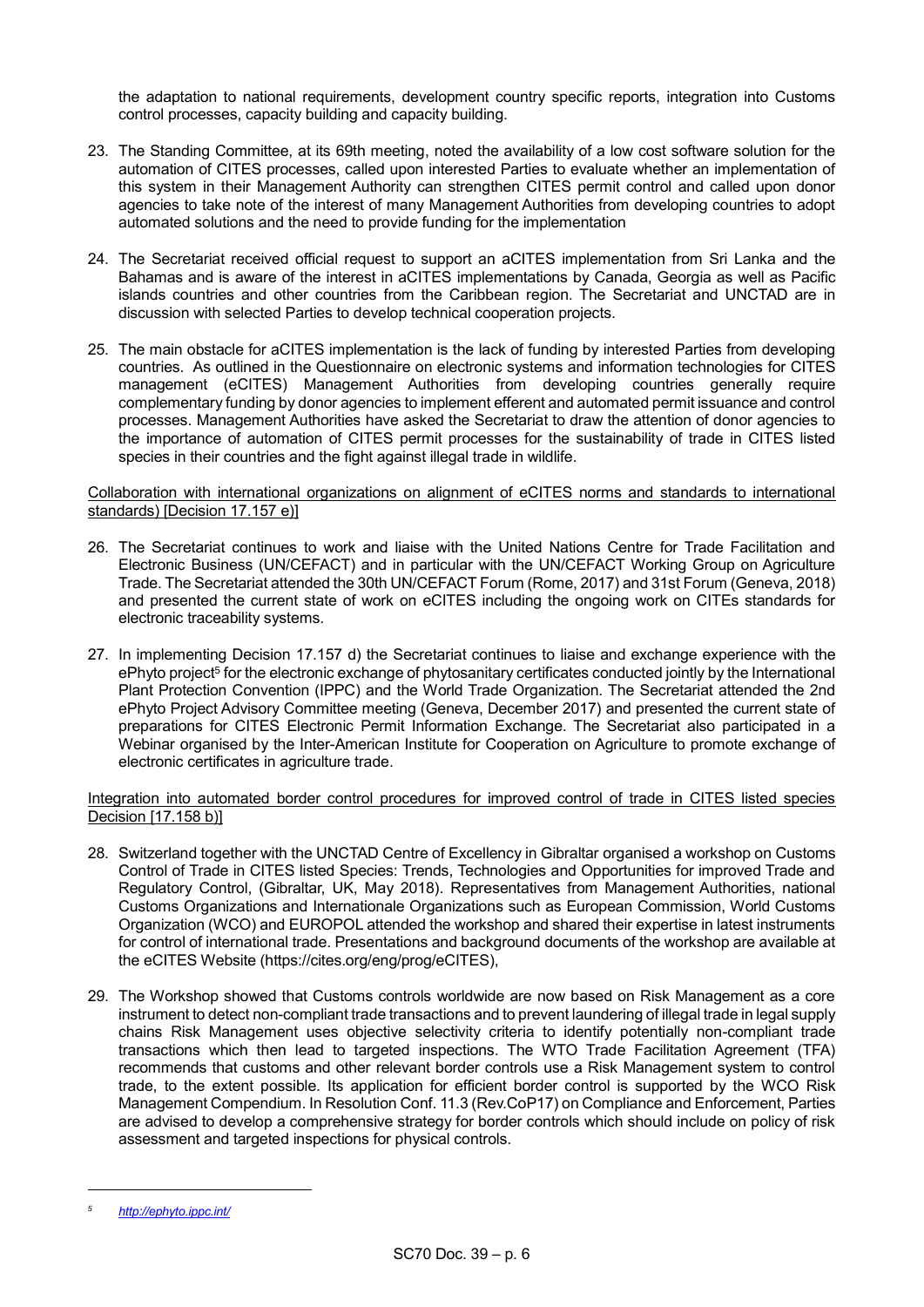the adaptation to national requirements, development country specific reports, integration into Customs control processes, capacity building and capacity building.

- 23. The Standing Committee, at its 69th meeting, noted the availability of a low cost software solution for the automation of CITES processes, called upon interested Parties to evaluate whether an implementation of this system in their Management Authority can strengthen CITES permit control and called upon donor agencies to take note of the interest of many Management Authorities from developing countries to adopt automated solutions and the need to provide funding for the implementation
- 24. The Secretariat received official request to support an aCITES implementation from Sri Lanka and the Bahamas and is aware of the interest in aCITES implementations by Canada, Georgia as well as Pacific islands countries and other countries from the Caribbean region. The Secretariat and UNCTAD are in discussion with selected Parties to develop technical cooperation projects.
- 25. The main obstacle for aCITES implementation is the lack of funding by interested Parties from developing countries. As outlined in the Questionnaire on electronic systems and information technologies for CITES management (eCITES) Management Authorities from developing countries generally require complementary funding by donor agencies to implement efferent and automated permit issuance and control processes. Management Authorities have asked the Secretariat to draw the attention of donor agencies to the importance of automation of CITES permit processes for the sustainability of trade in CITES listed species in their countries and the fight against illegal trade in wildlife.

### Collaboration with international organizations on alignment of eCITES norms and standards to international standards) [Decision 17.157 e)]

- 26. The Secretariat continues to work and liaise with the United Nations Centre for Trade Facilitation and Electronic Business (UN/CEFACT) and in particular with the UN/CEFACT Working Group on Agriculture Trade. The Secretariat attended the 30th UN/CEFACT Forum (Rome, 2017) and 31st Forum (Geneva, 2018) and presented the current state of work on eCITES including the ongoing work on CITEs standards for electronic traceability systems.
- 27. In implementing Decision 17.157 d) the Secretariat continues to liaise and exchange experience with the ePhyto project<sup>5</sup> for the electronic exchange of phytosanitary certificates conducted jointly by the International Plant Protection Convention (IPPC) and the World Trade Organization. The Secretariat attended the 2nd ePhyto Project Advisory Committee meeting (Geneva, December 2017) and presented the current state of preparations for CITES Electronic Permit Information Exchange. The Secretariat also participated in a Webinar organised by the Inter-American Institute for Cooperation on Agriculture to promote exchange of electronic certificates in agriculture trade.

# Integration into automated border control procedures for improved control of trade in CITES listed species Decision [17.158 b)]

- 28. Switzerland together with the UNCTAD Centre of Excellency in Gibraltar organised a workshop on Customs Control of Trade in CITES listed Species: Trends, Technologies and Opportunities for improved Trade and Regulatory Control, (Gibraltar, UK, May 2018). Representatives from Management Authorities, national Customs Organizations and Internationale Organizations such as European Commission, World Customs Organization (WCO) and EUROPOL attended the workshop and shared their expertise in latest instruments for control of international trade. Presentations and background documents of the workshop are available at the eCITES Website (https://cites.org/eng/prog/eCITES),
- 29. The Workshop showed that Customs controls worldwide are now based on Risk Management as a core instrument to detect non-compliant trade transactions and to prevent laundering of illegal trade in legal supply chains Risk Management uses objective selectivity criteria to identify potentially non-compliant trade transactions which then lead to targeted inspections. The WTO Trade Facilitation Agreement (TFA) recommends that customs and other relevant border controls use a Risk Management system to control trade, to the extent possible. Its application for efficient border control is supported by the WCO Risk Management Compendium. In Resolution Conf. 11.3 (Rev.CoP17) on Compliance and Enforcement, Parties are advised to develop a comprehensive strategy for border controls which should include on policy of risk assessment and targeted inspections for physical controls.

*<sup>5</sup> <http://ephyto.ippc.int/>*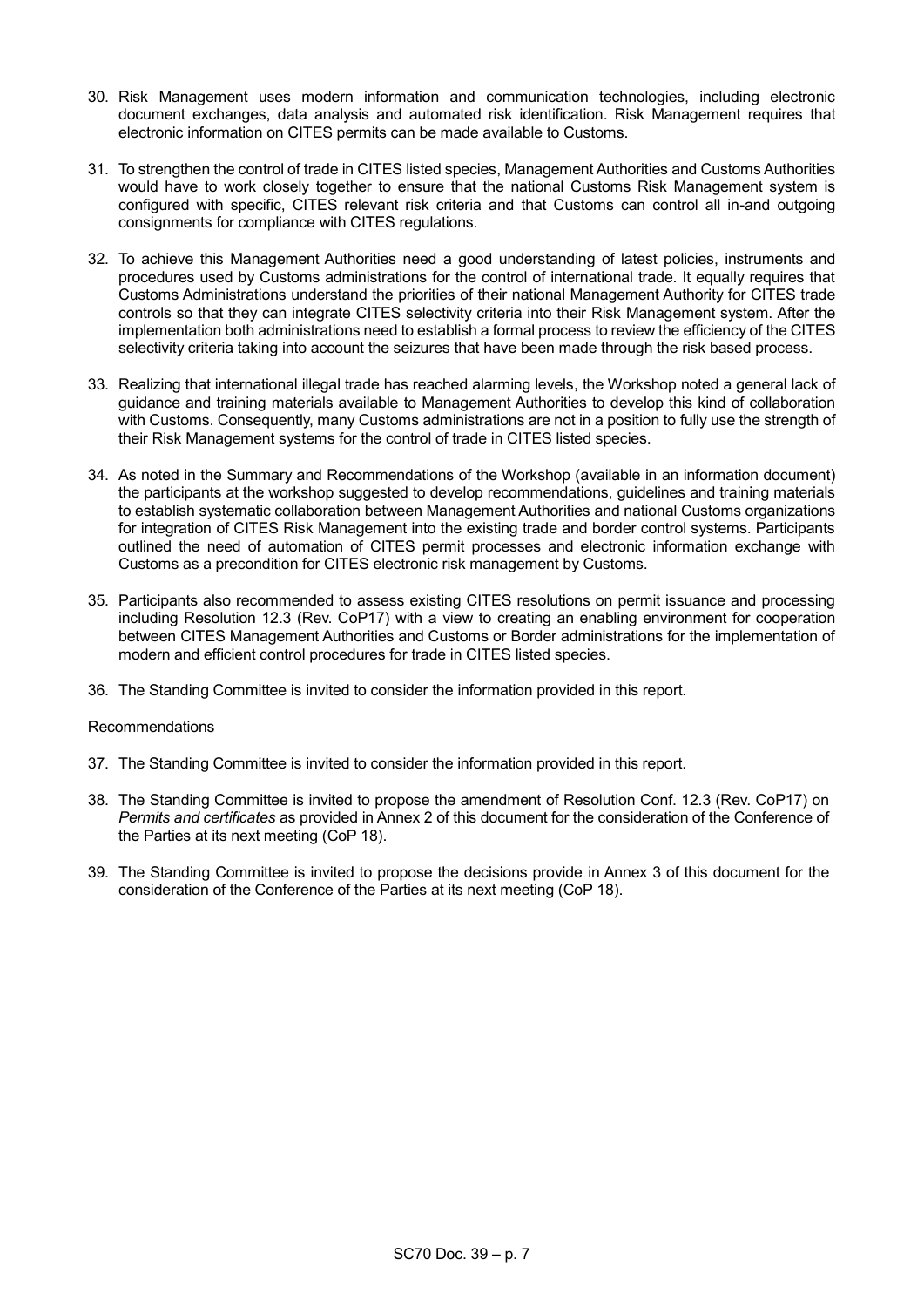- 30. Risk Management uses modern information and communication technologies, including electronic document exchanges, data analysis and automated risk identification. Risk Management requires that electronic information on CITES permits can be made available to Customs.
- 31. To strengthen the control of trade in CITES listed species, Management Authorities and Customs Authorities would have to work closely together to ensure that the national Customs Risk Management system is configured with specific, CITES relevant risk criteria and that Customs can control all in-and outgoing consignments for compliance with CITES regulations.
- 32. To achieve this Management Authorities need a good understanding of latest policies, instruments and procedures used by Customs administrations for the control of international trade. It equally requires that Customs Administrations understand the priorities of their national Management Authority for CITES trade controls so that they can integrate CITES selectivity criteria into their Risk Management system. After the implementation both administrations need to establish a formal process to review the efficiency of the CITES selectivity criteria taking into account the seizures that have been made through the risk based process.
- 33. Realizing that international illegal trade has reached alarming levels, the Workshop noted a general lack of guidance and training materials available to Management Authorities to develop this kind of collaboration with Customs. Consequently, many Customs administrations are not in a position to fully use the strength of their Risk Management systems for the control of trade in CITES listed species.
- 34. As noted in the Summary and Recommendations of the Workshop (available in an information document) the participants at the workshop suggested to develop recommendations, guidelines and training materials to establish systematic collaboration between Management Authorities and national Customs organizations for integration of CITES Risk Management into the existing trade and border control systems. Participants outlined the need of automation of CITES permit processes and electronic information exchange with Customs as a precondition for CITES electronic risk management by Customs.
- 35. Participants also recommended to assess existing CITES resolutions on permit issuance and processing including Resolution 12.3 (Rev. CoP17) with a view to creating an enabling environment for cooperation between CITES Management Authorities and Customs or Border administrations for the implementation of modern and efficient control procedures for trade in CITES listed species.
- 36. The Standing Committee is invited to consider the information provided in this report.

# Recommendations

- 37. The Standing Committee is invited to consider the information provided in this report.
- 38. The Standing Committee is invited to propose the amendment of Resolution Conf. 12.3 (Rev. CoP17) on *Permits and certificates* as provided in Annex 2 of this document for the consideration of the Conference of the Parties at its next meeting (CoP 18).
- 39. The Standing Committee is invited to propose the decisions provide in Annex 3 of this document for the consideration of the Conference of the Parties at its next meeting (CoP 18).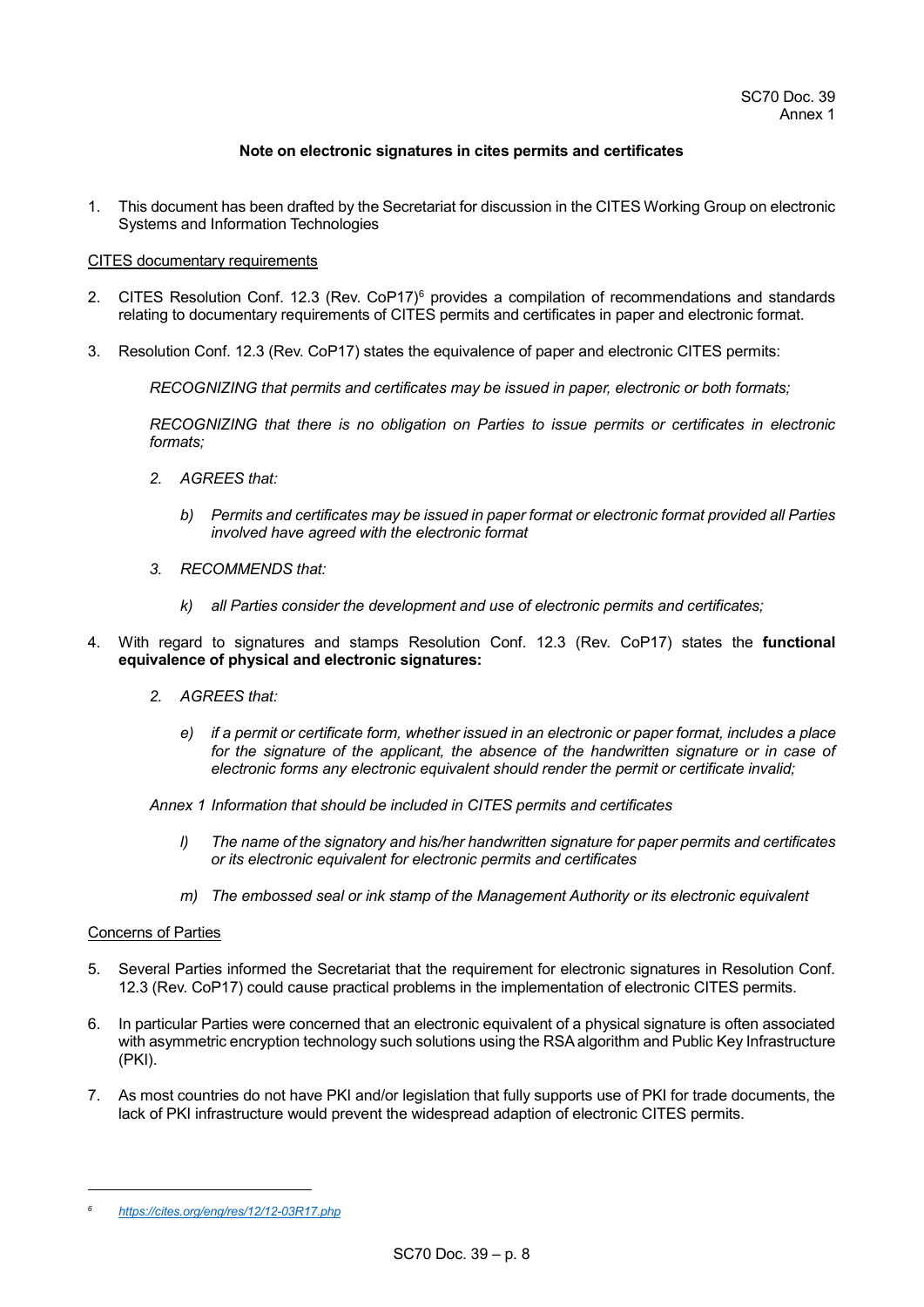## **Note on electronic signatures in cites permits and certificates**

1. This document has been drafted by the Secretariat for discussion in the CITES Working Group on electronic Systems and Information Technologies

### CITES documentary requirements

- 2. CITES Resolution Conf. 12.3 (Rev. CoP17)<sup>6</sup> provides a compilation of recommendations and standards relating to documentary requirements of CITES permits and certificates in paper and electronic format.
- 3. Resolution Conf. 12.3 (Rev. CoP17) states the equivalence of paper and electronic CITES permits:

*RECOGNIZING that permits and certificates may be issued in paper, electronic or both formats;*

*RECOGNIZING that there is no obligation on Parties to issue permits or certificates in electronic formats;*

- *2. AGREES that:* 
	- *b) Permits and certificates may be issued in paper format or electronic format provided all Parties involved have agreed with the electronic format*
- *3. RECOMMENDS that:* 
	- *k) all Parties consider the development and use of electronic permits and certificates;*
- 4. With regard to signatures and stamps Resolution Conf. 12.3 (Rev. CoP17) states the **functional equivalence of physical and electronic signatures:**
	- *2. AGREES that:* 
		- *e) if a permit or certificate form, whether issued in an electronic or paper format, includes a place*  for the signature of the applicant, the absence of the handwritten signature or in case of *electronic forms any electronic equivalent should render the permit or certificate invalid;*

*Annex 1 Information that should be included in CITES permits and certificates*

- *l) The name of the signatory and his/her handwritten signature for paper permits and certificates or its electronic equivalent for electronic permits and certificates*
- *m) The embossed seal or ink stamp of the Management Authority or its electronic equivalent*

### Concerns of Parties

- 5. Several Parties informed the Secretariat that the requirement for electronic signatures in Resolution Conf. 12.3 (Rev. CoP17) could cause practical problems in the implementation of electronic CITES permits.
- 6. In particular Parties were concerned that an electronic equivalent of a physical signature is often associated with asymmetric encryption technology such solutions using the RSA algorithm and Public Key Infrastructure (PKI).
- 7. As most countries do not have PKI and/or legislation that fully supports use of PKI for trade documents, the lack of PKI infrastructure would prevent the widespread adaption of electronic CITES permits.

*<sup>6</sup> https://cites.org/eng/res/12/12-03R17.php*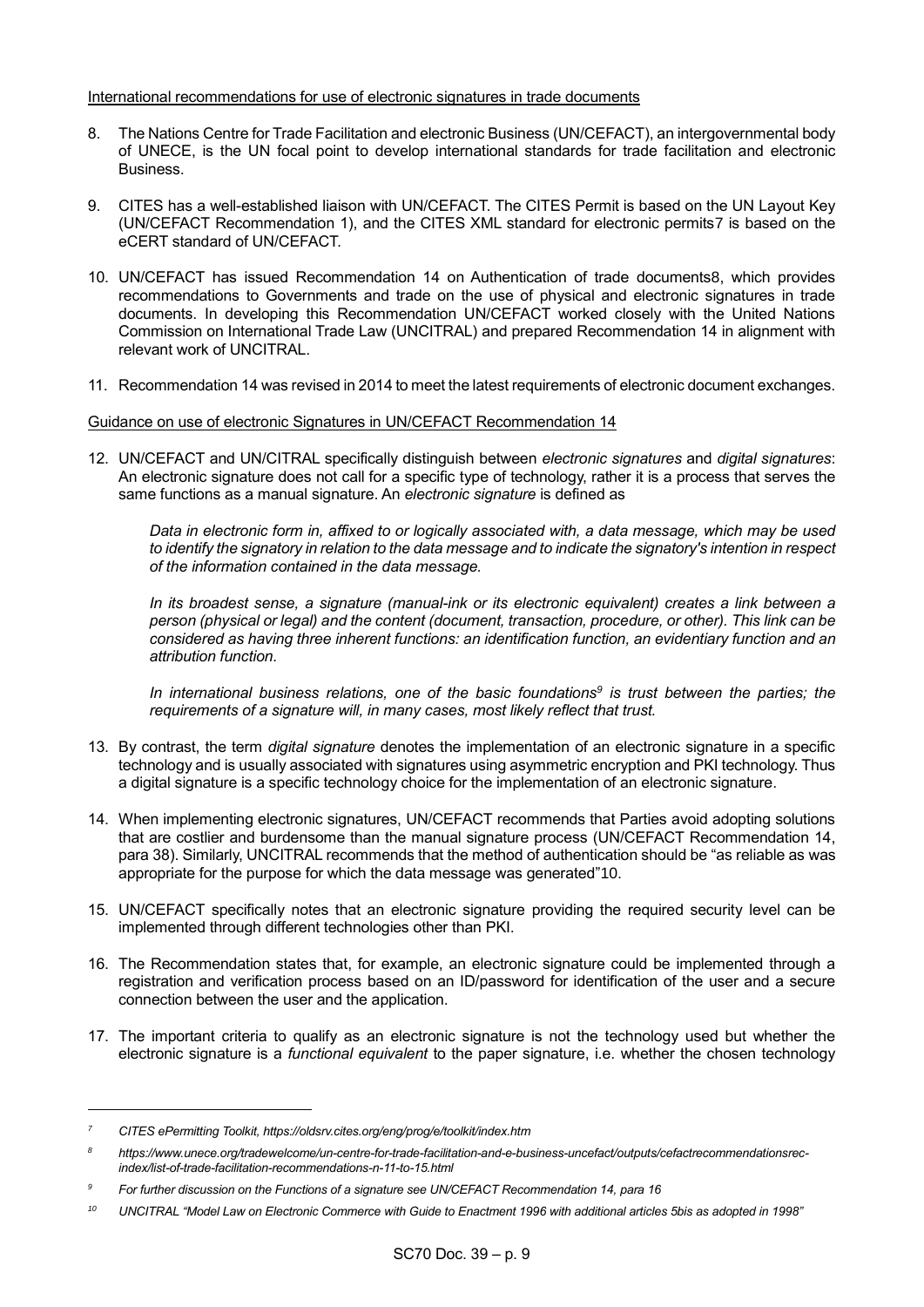### International recommendations for use of electronic signatures in trade documents

- 8. The Nations Centre for Trade Facilitation and electronic Business (UN/CEFACT), an intergovernmental body of UNECE, is the UN focal point to develop international standards for trade facilitation and electronic Business.
- 9. CITES has a well-established liaison with UN/CEFACT. The CITES Permit is based on the UN Layout Key (UN/CEFACT Recommendation 1), and the CITES XML standard for electronic permits7 is based on the eCERT standard of UN/CEFACT.
- 10. UN/CEFACT has issued Recommendation 14 on Authentication of trade documents8, which provides recommendations to Governments and trade on the use of physical and electronic signatures in trade documents. In developing this Recommendation UN/CEFACT worked closely with the United Nations Commission on International Trade Law (UNCITRAL) and prepared Recommendation 14 in alignment with relevant work of UNCITRAL.
- 11. Recommendation 14 was revised in 2014 to meet the latest requirements of electronic document exchanges.

# Guidance on use of electronic Signatures in UN/CEFACT Recommendation 14

12. UN/CEFACT and UN/CITRAL specifically distinguish between *electronic signatures* and *digital signatures*: An electronic signature does not call for a specific type of technology, rather it is a process that serves the same functions as a manual signature. An *electronic signature* is defined as

*Data in electronic form in, affixed to or logically associated with, a data message, which may be used to identify the signatory in relation to the data message and to indicate the signatory's intention in respect of the information contained in the data message.* 

*In its broadest sense, a signature (manual-ink or its electronic equivalent) creates a link between a person (physical or legal) and the content (document, transaction, procedure, or other). This link can be considered as having three inherent functions: an identification function, an evidentiary function and an attribution function.*

*In international business relations, one of the basic foundations<sup>9</sup> is trust between the parties; the requirements of a signature will, in many cases, most likely reflect that trust.*

- 13. By contrast, the term *digital signature* denotes the implementation of an electronic signature in a specific technology and is usually associated with signatures using asymmetric encryption and PKI technology. Thus a digital signature is a specific technology choice for the implementation of an electronic signature.
- 14. When implementing electronic signatures, UN/CEFACT recommends that Parties avoid adopting solutions that are costlier and burdensome than the manual signature process (UN/CEFACT Recommendation 14, para 38). Similarly, UNCITRAL recommends that the method of authentication should be "as reliable as was appropriate for the purpose for which the data message was generated"10.
- 15. UN/CEFACT specifically notes that an electronic signature providing the required security level can be implemented through different technologies other than PKI.
- 16. The Recommendation states that, for example, an electronic signature could be implemented through a registration and verification process based on an ID/password for identification of the user and a secure connection between the user and the application.
- 17. The important criteria to qualify as an electronic signature is not the technology used but whether the electronic signature is a *functional equivalent* to the paper signature, i.e. whether the chosen technology

*<sup>7</sup> CITES ePermitting Toolkit, https://oldsrv.cites.org/eng/prog/e/toolkit/index.htm*

*<sup>8</sup> https://www.unece.org/tradewelcome/un-centre-for-trade-facilitation-and-e-business-uncefact/outputs/cefactrecommendationsrecindex/list-of-trade-facilitation-recommendations-n-11-to-15.html*

*<sup>9</sup> For further discussion on the Functions of a signature see UN/CEFACT Recommendation 14, para 16*

*<sup>10</sup> UNCITRAL "Model Law on Electronic Commerce with Guide to Enactment 1996 with additional articles 5bis as adopted in 1998"*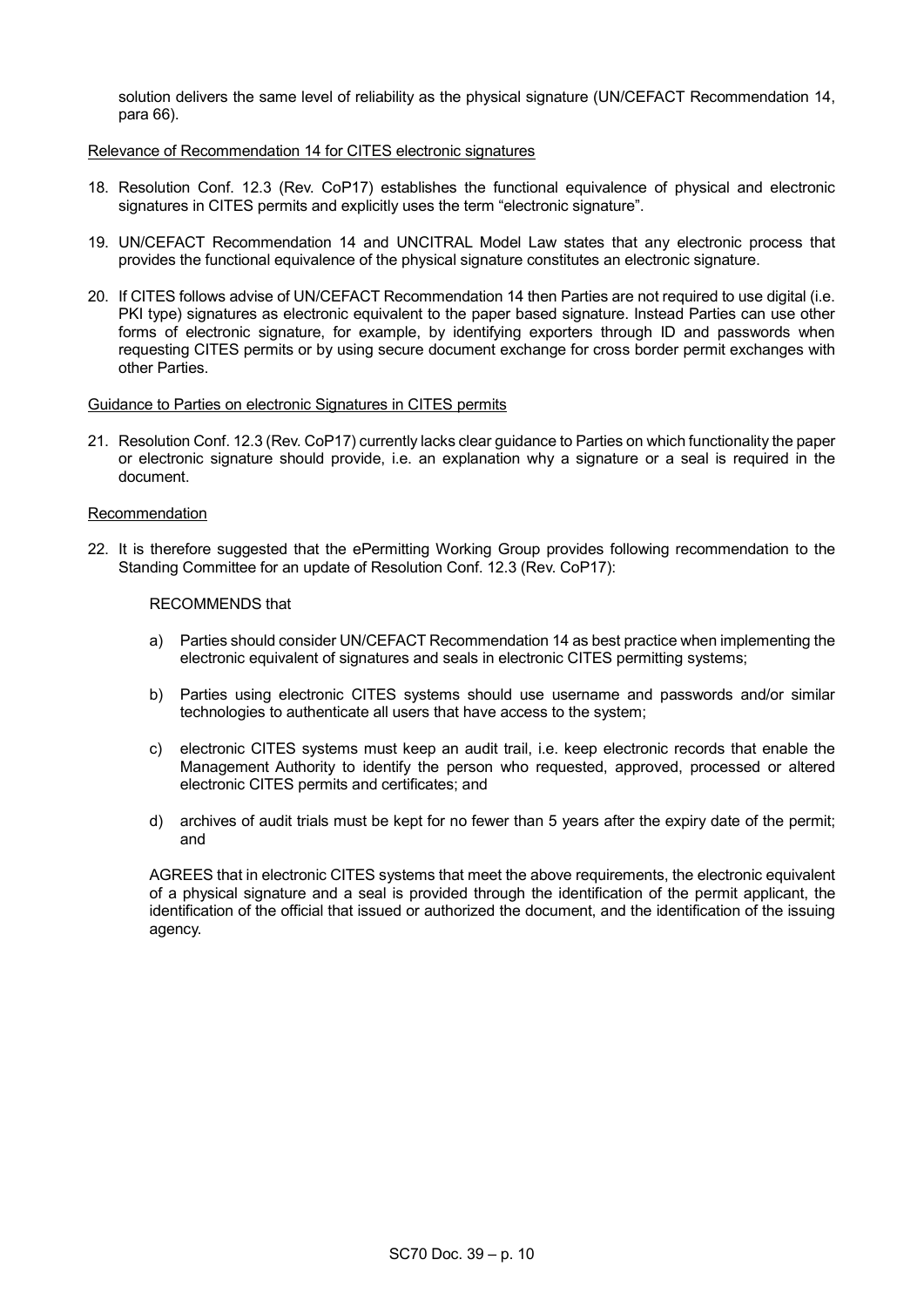solution delivers the same level of reliability as the physical signature (UN/CEFACT Recommendation 14, para 66).

### Relevance of Recommendation 14 for CITES electronic signatures

- 18. Resolution Conf. 12.3 (Rev. CoP17) establishes the functional equivalence of physical and electronic signatures in CITES permits and explicitly uses the term "electronic signature".
- 19. UN/CEFACT Recommendation 14 and UNCITRAL Model Law states that any electronic process that provides the functional equivalence of the physical signature constitutes an electronic signature.
- 20. If CITES follows advise of UN/CEFACT Recommendation 14 then Parties are not required to use digital (i.e. PKI type) signatures as electronic equivalent to the paper based signature. Instead Parties can use other forms of electronic signature, for example, by identifying exporters through ID and passwords when requesting CITES permits or by using secure document exchange for cross border permit exchanges with other Parties.

### Guidance to Parties on electronic Signatures in CITES permits

21. Resolution Conf. 12.3 (Rev. CoP17) currently lacks clear guidance to Parties on which functionality the paper or electronic signature should provide, i.e. an explanation why a signature or a seal is required in the document.

### Recommendation

22. It is therefore suggested that the ePermitting Working Group provides following recommendation to the Standing Committee for an update of Resolution Conf. 12.3 (Rev. CoP17):

# RECOMMENDS that

- a) Parties should consider UN/CEFACT Recommendation 14 as best practice when implementing the electronic equivalent of signatures and seals in electronic CITES permitting systems;
- b) Parties using electronic CITES systems should use username and passwords and/or similar technologies to authenticate all users that have access to the system;
- c) electronic CITES systems must keep an audit trail, i.e. keep electronic records that enable the Management Authority to identify the person who requested, approved, processed or altered electronic CITES permits and certificates; and
- d) archives of audit trials must be kept for no fewer than 5 years after the expiry date of the permit; and

AGREES that in electronic CITES systems that meet the above requirements, the electronic equivalent of a physical signature and a seal is provided through the identification of the permit applicant, the identification of the official that issued or authorized the document, and the identification of the issuing agency.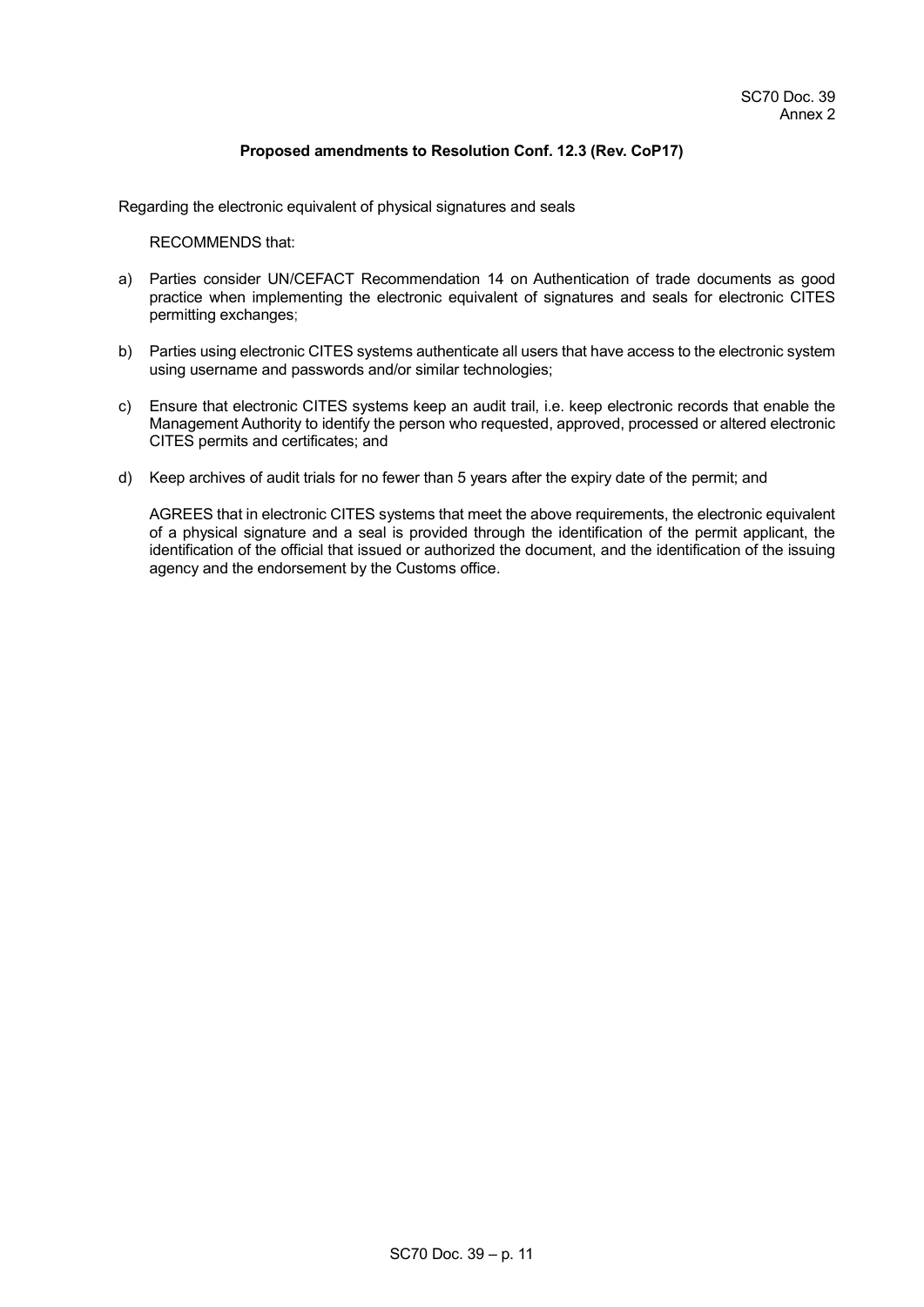## **Proposed amendments to Resolution Conf. 12.3 (Rev. CoP17)**

Regarding the electronic equivalent of physical signatures and seals

RECOMMENDS that:

- a) Parties consider UN/CEFACT Recommendation 14 on Authentication of trade documents as good practice when implementing the electronic equivalent of signatures and seals for electronic CITES permitting exchanges;
- b) Parties using electronic CITES systems authenticate all users that have access to the electronic system using username and passwords and/or similar technologies;
- c) Ensure that electronic CITES systems keep an audit trail, i.e. keep electronic records that enable the Management Authority to identify the person who requested, approved, processed or altered electronic CITES permits and certificates; and
- d) Keep archives of audit trials for no fewer than 5 years after the expiry date of the permit; and

AGREES that in electronic CITES systems that meet the above requirements, the electronic equivalent of a physical signature and a seal is provided through the identification of the permit applicant, the identification of the official that issued or authorized the document, and the identification of the issuing agency and the endorsement by the Customs office.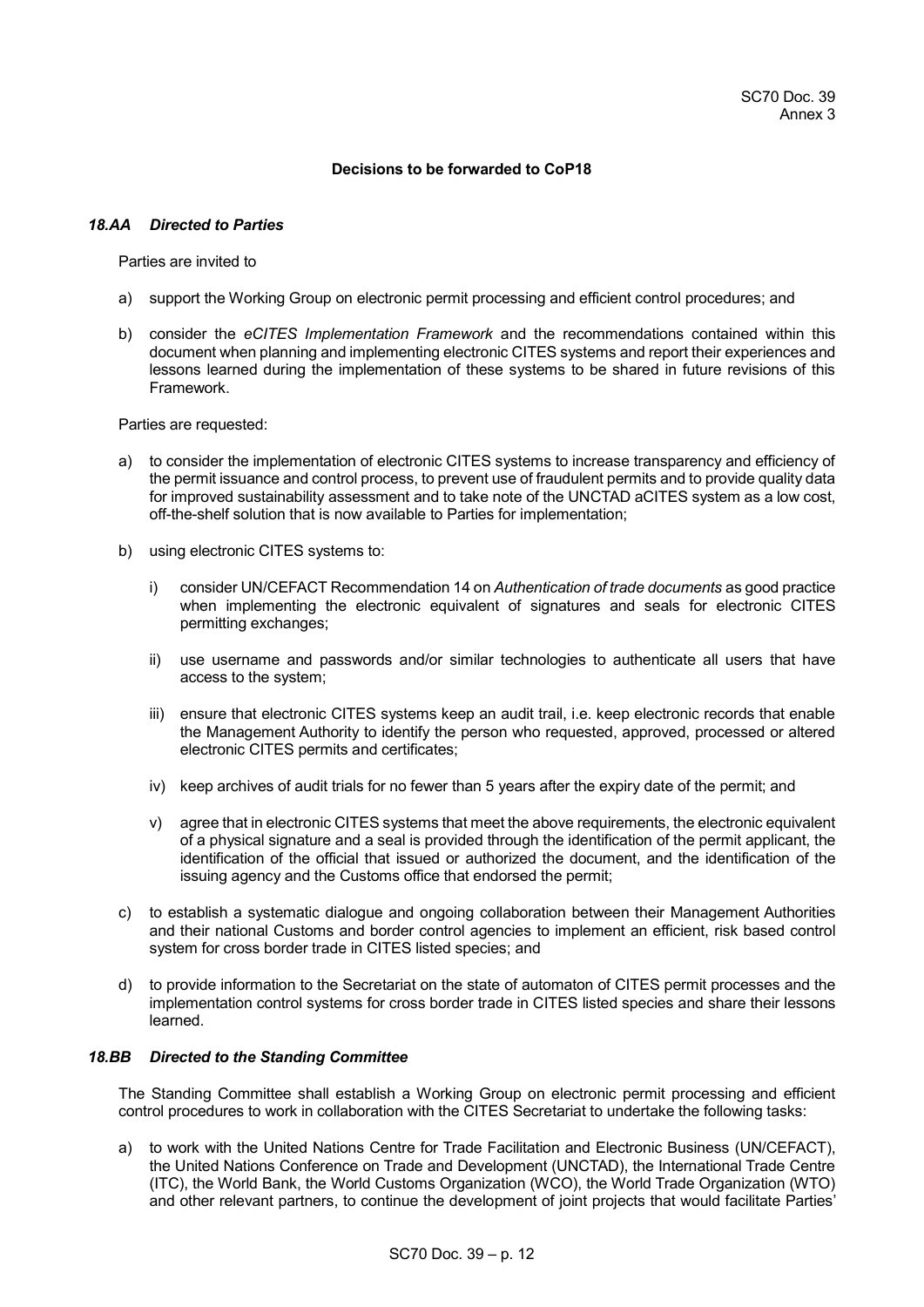### **Decisions to be forwarded to CoP18**

# *18.AA Directed to Parties*

Parties are invited to

- a) support the Working Group on electronic permit processing and efficient control procedures; and
- b) consider the *eCITES Implementation Framework* and the recommendations contained within this document when planning and implementing electronic CITES systems and report their experiences and lessons learned during the implementation of these systems to be shared in future revisions of this Framework.

Parties are requested:

- a) to consider the implementation of electronic CITES systems to increase transparency and efficiency of the permit issuance and control process, to prevent use of fraudulent permits and to provide quality data for improved sustainability assessment and to take note of the UNCTAD aCITES system as a low cost, off-the-shelf solution that is now available to Parties for implementation;
- b) using electronic CITES systems to:
	- i) consider UN/CEFACT Recommendation 14 on *Authentication of trade documents* as good practice when implementing the electronic equivalent of signatures and seals for electronic CITES permitting exchanges;
	- ii) use username and passwords and/or similar technologies to authenticate all users that have access to the system;
	- iii) ensure that electronic CITES systems keep an audit trail, i.e. keep electronic records that enable the Management Authority to identify the person who requested, approved, processed or altered electronic CITES permits and certificates;
	- iv) keep archives of audit trials for no fewer than 5 years after the expiry date of the permit; and
	- v) agree that in electronic CITES systems that meet the above requirements, the electronic equivalent of a physical signature and a seal is provided through the identification of the permit applicant, the identification of the official that issued or authorized the document, and the identification of the issuing agency and the Customs office that endorsed the permit;
- c) to establish a systematic dialogue and ongoing collaboration between their Management Authorities and their national Customs and border control agencies to implement an efficient, risk based control system for cross border trade in CITES listed species; and
- d) to provide information to the Secretariat on the state of automaton of CITES permit processes and the implementation control systems for cross border trade in CITES listed species and share their lessons learned.

### *18.BB Directed to the Standing Committee*

The Standing Committee shall establish a Working Group on electronic permit processing and efficient control procedures to work in collaboration with the CITES Secretariat to undertake the following tasks:

a) to work with the United Nations Centre for Trade Facilitation and Electronic Business (UN/CEFACT), the United Nations Conference on Trade and Development (UNCTAD), the International Trade Centre (ITC), the World Bank, the World Customs Organization (WCO), the World Trade Organization (WTO) and other relevant partners, to continue the development of joint projects that would facilitate Parties'